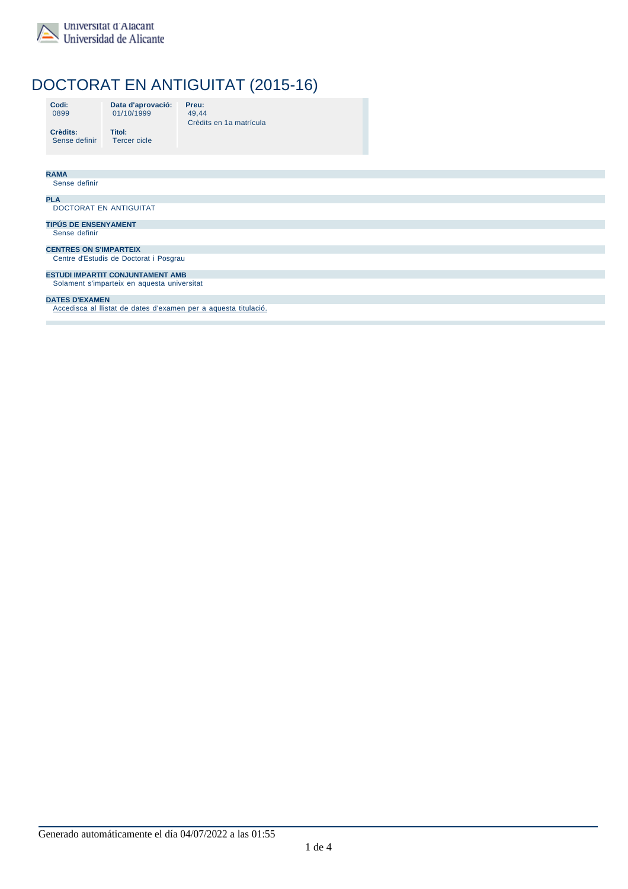

### Universitat d'Alacant Universidad de Alicante

**Titol:**

# DOCTORAT EN ANTIGUITAT (2015-16)

| Codi: |  |
|-------|--|
| 0899  |  |

**Data d'aprovació:** 01/10/1999 **Preu:**

49,44 Crèdits en 1a matrícula

**Crèdits:** Sense definir Tercer cicle

| <b>RAMA</b>                                                     |  |  |
|-----------------------------------------------------------------|--|--|
| Sense definir                                                   |  |  |
| <b>PLA</b>                                                      |  |  |
| DOCTORAT EN ANTIGUITAT                                          |  |  |
| <b>TIPÚS DE ENSENYAMENT</b>                                     |  |  |
| Sense definir                                                   |  |  |
| <b>CENTRES ON S'IMPARTEIX</b>                                   |  |  |
| Centre d'Estudis de Doctorat i Posgrau                          |  |  |
| <b>ESTUDI IMPARTIT CONJUNTAMENT AMB</b>                         |  |  |
| Solament s'imparteix en aquesta universitat                     |  |  |
| <b>DATES D'EXAMEN</b>                                           |  |  |
| Accedisca al Ilistat de dates d'examen per a aquesta titulació. |  |  |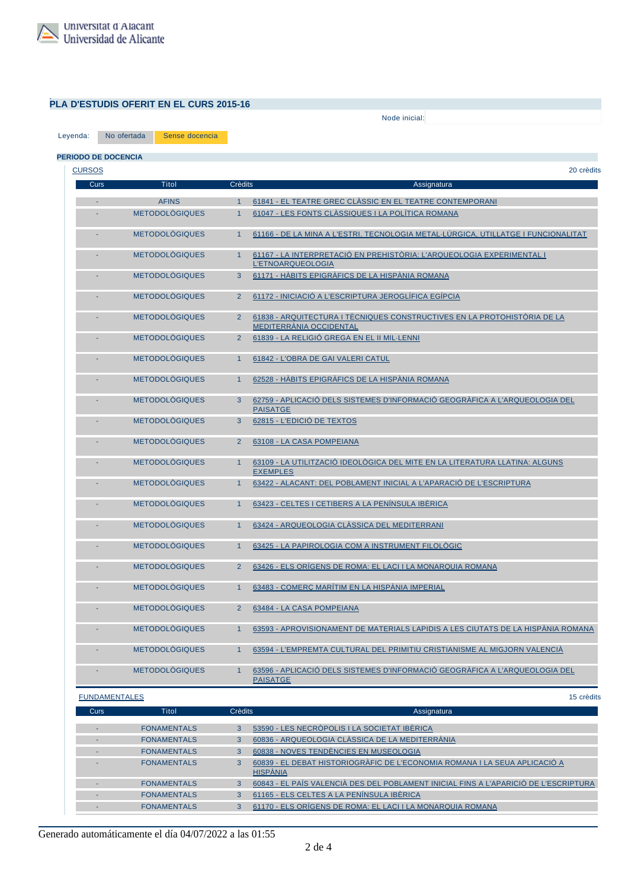

## **PLA D'ESTUDIS OFERIT EN EL CURS 2015-16**

Node inicial: Seleccione el node inicial  $\blacksquare$ 

Leyenda: No ofertada Sense docencia

| <b>CURSOS</b> |                       |                |                                                                                                            |
|---------------|-----------------------|----------------|------------------------------------------------------------------------------------------------------------|
| Curs          | Titol                 | <b>Crèdits</b> | Assignatura                                                                                                |
|               | <b>AFINS</b>          | $\overline{1}$ | 61841 - EL TEATRE GREC CLÀSSIC EN EL TEATRE CONTEMPORANI                                                   |
|               | <b>METODOLÒGIQUES</b> | $\mathbf{1}$   | 61047 - LES FONTS CLÀSSIQUES I LA POLÍTICA ROMANA                                                          |
|               | <b>METODOLÒGIQUES</b> | $\mathbf{1}$   | 61166 - DE LA MINA A L'ESTRI. TECNOLOGIA METAL·LÚRGICA, UTILLATGE I FUNCIONALITAT                          |
|               | <b>METODOLÒGIQUES</b> | $\mathbf{1}$   | 61167 - LA INTERPRETACIÓ EN PREHISTÒRIA: L'ARQUEOLOGIA EXPERIMENTAL I<br><b>L'ETNOARQUEOLOGIA</b>          |
|               | <b>METODOLÒGIQUES</b> | 3              | 61171 - HÀBITS EPIGRÀFICS DE LA HISPÀNIA ROMANA                                                            |
|               | <b>METODOLÒGIQUES</b> | $\overline{2}$ | 61172 - INICIACIÓ A L'ESCRIPTURA JEROGLÍFICA EGÍPCIA                                                       |
|               | <b>METODOLÒGIQUES</b> | $\overline{2}$ | 61838 - ARQUITECTURA I TÉCNIQUES CONSTRUCTIVES EN LA PROTOHISTÒRIA DE LA<br><b>MEDITERRÁNIA OCCIDENTAL</b> |
|               | <b>METODOLÒGIQUES</b> | $\overline{2}$ | 61839 - LA RELIGIÓ GREGA EN EL II MIL·LENNI                                                                |
|               | <b>METODOLÒGIQUES</b> | $\mathbf{1}$   | 61842 - L'OBRA DE GAI VALERI CATUL                                                                         |
|               | <b>METODOLÒGIQUES</b> | $\mathbf{1}$   | 62528 - HÀBITS EPIGRÀFICS DE LA HISPÀNIA ROMANA                                                            |
|               | <b>METODOLÒGIQUES</b> | 3              | 62759 - APLICACIÓ DELS SISTEMES D'INFORMACIÓ GEOGRÀFICA A L'ARQUEOLOGIA DEL<br><b>PAISATGE</b>             |
|               | <b>METODOLÒGIQUES</b> | 3              | 62815 - L'EDICIÓ DE TEXTOS                                                                                 |
|               | <b>METODOLÓGIQUES</b> | $\overline{2}$ | 63108 - LA CASA POMPEIANA                                                                                  |
|               | <b>METODOLÓGIQUES</b> | 1              | 63109 - LA UTILITZACIÓ IDEOLÓGICA DEL MITE EN LA LITERATURA LLATINA: ALGUNS<br><b>EXEMPLES</b>             |
|               | <b>METODOLÓGIQUES</b> | $\mathbf{1}$   | 63422 - ALACANT: DEL POBLAMENT INICIAL A L'APARACIÓ DE L'ESCRIPTURA                                        |
|               | <b>METODOLÓGIQUES</b> | $\mathbf{1}$   | 63423 - CELTES I CETIBERS A LA PENÍNSULA IBÉRICA                                                           |
|               | <b>METODOLÓGIQUES</b> | $\mathbf{1}$   | 63424 - ARQUEOLOGIA CLÀSSICA DEL MEDITERRANI                                                               |
|               | <b>METODOLÓGIQUES</b> | $\mathbf{1}$   | 63425 - LA PAPIROLOGIA COM A INSTRUMENT FILOLÓGIC                                                          |
|               | <b>METODOLÒGIQUES</b> | $\overline{2}$ | 63426 - ELS ORÍGENS DE ROMA: EL LACI I LA MONARQUIA ROMANA                                                 |
|               | <b>METODOLÓGIQUES</b> | 1              | 63483 - COMERÇ MARÍTIM EN LA HISPÁNIA IMPERIAL                                                             |
|               | <b>METODOLÓGIQUES</b> | $\overline{2}$ | 63484 - LA CASA POMPEIANA                                                                                  |
|               | <b>METODOLÓGIQUES</b> | $\mathbf{1}$   | 63593 - APROVISIONAMENT DE MATERIALS LAPIDIS A LES CIUTATS DE LA HISPÁNIA ROMANA                           |
|               | <b>METODOLÒGIQUES</b> | $\mathbf{1}$   | 63594 - L'EMPREMTA CULTURAL DEL PRIMITIU CRISTIANISME AL MIGJORN VALENCIÀ                                  |
|               | <b>METODOLÓGIQUES</b> | $\mathbf{1}$   | 63596 - APLICACIÓ DELS SISTEMES D'INFORMACIÓ GEOGRAFICA A L'ARQUEOLOGIA DEL<br><b>PAISATGE</b>             |

| Curs | Titol              | Crèdits | Assignatura                                                                                   |
|------|--------------------|---------|-----------------------------------------------------------------------------------------------|
|      |                    |         |                                                                                               |
|      | <b>FONAMENTALS</b> | 3       | 53590 - LES NECRÒPOLIS I LA SOCIETAT IBÈRICA                                                  |
|      | <b>FONAMENTALS</b> | 3       | 60836 - ARQUEOLOGIA CLÀSSICA DE LA MEDITERRÀNIA                                               |
|      | <b>FONAMENTALS</b> | 3       | 60838 - NOVES TENDÈNCIES EN MUSEOLOGIA                                                        |
|      | <b>FONAMENTALS</b> | 3       | 60839 - EL DEBAT HISTORIOGRÀFIC DE L'ECONOMIA ROMANA I LA SEUA APLICACIÓ A<br><b>HISPANIA</b> |
|      | <b>FONAMENTALS</b> | 3       | 60843 - EL PAÍS VALENCIÀ DES DEL POBLAMENT INICIAL FINS A L'APARICIÓ DE L'ESCRIPTURA          |
|      | <b>FONAMENTALS</b> | 3       | 61165 - ELS CELTES A LA PENÍNSULA IBÈRICA                                                     |
|      | <b>FONAMENTALS</b> | 3       | 61170 - ELS ORÍGENS DE ROMA: EL LACI I LA MONARQUIA ROMANA                                    |

Generado automáticamente el día 04/07/2022 a las 01:55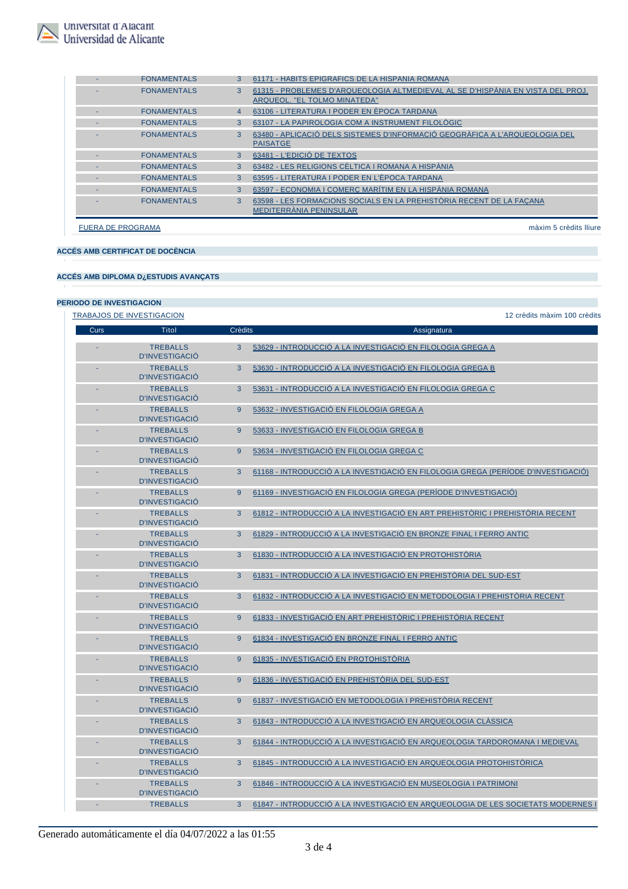

| <b>FONAMENTALS</b>       |              | 61171 - HÁBITS EPIGRÁFICS DE LA HISPÁNIA ROMANA                                                                 |
|--------------------------|--------------|-----------------------------------------------------------------------------------------------------------------|
| <b>FONAMENTALS</b>       | 3            | 61315 - PROBLEMES D'ARQUEOLOGIA ALTMEDIEVAL AL SE D'HISPÀNIA EN VISTA DEL PROJ.<br>ARQUEOL. "EL TOLMO MINATEDA" |
| <b>FONAMENTALS</b>       | 4            | 63106 - LITERATURA I PODER EN ÈPOCA TARDANA                                                                     |
| <b>FONAMENTALS</b>       | 3            | 63107 - LA PAPIROLOGIA COM A INSTRUMENT FILOLÒGIC                                                               |
| <b>FONAMENTALS</b>       | $\mathbf{B}$ | 63480 - APLICACIÓ DELS SISTEMES D'INFORMACIÓ GEOGRÀFICA A L'ARQUEOLOGIA DEL<br><b>PAISATGE</b>                  |
| <b>FONAMENTALS</b>       | 3            | 63481 - L'EDICIÓ DE TEXTOS                                                                                      |
| <b>FONAMENTALS</b>       | 3            | 63482 - LES RELIGIONS CÈLTICA I ROMANA A HISPÀNIA                                                               |
| <b>FONAMENTALS</b>       | 3            | 63595 - LITERATURA I PODER EN L'ÈPOCA TARDANA                                                                   |
| <b>FONAMENTALS</b>       | 3            | 63597 - ECONOMIA I COMERÇ MARÍTIM EN LA HISPÀNIA ROMANA                                                         |
| <b>FONAMENTALS</b>       | $\mathbf{3}$ | 63598 - LES FORMACIONS SOCIALS EN LA PREHISTÒRIA RECENT DE LA FACANA<br>MEDITERRÀNIA PENINSULAR                 |
| <b>FUERA DE PROGRAMA</b> |              | màxim 5 crèdits lliure                                                                                          |

**ACCÉS AMB CERTIFICAT DE DOCÈNCIA**

#### **ACCÉS AMB DIPLOMA D¿ESTUDIS AVANÇATS**

#### **PERIODO DE INVESTIGACION**

|      | <b>TRABAJOS DE INVESTIGACION</b>         |                | 12 crèdits màxim 100 crèdits                                                      |
|------|------------------------------------------|----------------|-----------------------------------------------------------------------------------|
| Curs | Titol                                    | <b>Crèdits</b> | Assignatura                                                                       |
|      | <b>TREBALLS</b><br><b>D'INVESTIGACIÓ</b> | 3              | 53629 - INTRODUCCIÓ A LA INVESTIGACIÓ EN FILOLOGIA GREGA A                        |
|      | <b>TREBALLS</b><br><b>D'INVESTIGACIÓ</b> | 3              | 53630 - INTRODUCCIÓ A LA INVESTIGACIÓ EN FILOLOGIA GREGA B                        |
|      | <b>TREBALLS</b><br><b>D'INVESTIGACIÓ</b> | 3              | 53631 - INTRODUCCIÓ A LA INVESTIGACIÓ EN FILOLOGIA GREGA C                        |
|      | <b>TREBALLS</b><br><b>D'INVESTIGACIÓ</b> | 9              | 53632 - INVESTIGACIÓ EN FILOLOGIA GREGA A                                         |
|      | <b>TREBALLS</b><br><b>D'INVESTIGACIÓ</b> | 9              | 53633 - INVESTIGACIÓ EN FILOLOGIA GREGA B                                         |
|      | <b>TREBALLS</b><br><b>D'INVESTIGACIÓ</b> | 9              | 53634 - INVESTIGACIÓ EN FILOLOGIA GREGA C                                         |
|      | <b>TREBALLS</b><br><b>D'INVESTIGACIÓ</b> | 3              | 61168 - INTRODUCCIÓ A LA INVESTIGACIÓ EN FILOLOGIA GREGA (PERÍODE D'INVESTIGACIÓ) |
|      | <b>TREBALLS</b><br><b>D'INVESTIGACIÓ</b> | 9              | 61169 - INVESTIGACIÓ EN FILOLOGIA GREGA (PERÍODE D'INVESTIGACIÓ)                  |
|      | <b>TREBALLS</b><br><b>D'INVESTIGACIÓ</b> | 3              | 61812 - INTRODUCCIÓ A LA INVESTIGACIÓ EN ART PREHISTÒRIC I PREHISTÒRIA RECENT     |
|      | <b>TREBALLS</b><br>D'INVESTIGACIÓ        | 3              | 61829 - INTRODUCCIÓ A LA INVESTIGACIÓ EN BRONZE FINAL I FERRO ANTIC               |
|      | <b>TREBALLS</b><br><b>D'INVESTIGACIÓ</b> | 3              | 61830 - INTRODUCCIÓ A LA INVESTIGACIÓ EN PROTOHISTÒRIA                            |
|      | <b>TREBALLS</b><br><b>D'INVESTIGACIÓ</b> | 3              | 61831 - INTRODUCCIÓ A LA INVESTIGACIÓ EN PREHISTÒRIA DEL SUD-EST                  |
|      | <b>TREBALLS</b><br><b>D'INVESTIGACIÓ</b> | 3              | 61832 - INTRODUCCIÓ A LA INVESTIGACIÓ EN METODOLOGIA I PREHISTÒRIA RECENT         |
|      | <b>TREBALLS</b><br><b>D'INVESTIGACIÓ</b> | 9              | 61833 - INVESTIGACIÓ EN ART PREHISTÓRIC I PREHISTÓRIA RECENT                      |
|      | <b>TREBALLS</b><br><b>D'INVESTIGACIÓ</b> | 9              | 61834 - INVESTIGACIÓ EN BRONZE FINAL I FERRO ANTIC                                |
|      | <b>TREBALLS</b><br><b>D'INVESTIGACIÓ</b> | 9              | 61835 - INVESTIGACIÓ EN PROTOHISTÓRIA                                             |
|      | <b>TREBALLS</b><br><b>D'INVESTIGACIÓ</b> | 9              | 61836 - INVESTIGACIÓ EN PREHISTÒRIA DEL SUD-EST                                   |
|      | <b>TREBALLS</b><br><b>D'INVESTIGACIÓ</b> | 9              | 61837 - INVESTIGACIÓ EN METODOLOGIA I PREHISTÓRIA RECENT                          |
|      | <b>TREBALLS</b><br><b>D'INVESTIGACIÓ</b> | 3              | 61843 - INTRODUCCIÓ A LA INVESTIGACIÓ EN ARQUEOLOGIA CLÀSSICA                     |
|      | <b>TREBALLS</b><br><b>D'INVESTIGACIÓ</b> | 3              | 61844 - INTRODUCCIÓ A LA INVESTIGACIÓ EN ARQUEOLOGIA TARDOROMANA I MEDIEVAL       |
|      | <b>TREBALLS</b><br><b>D'INVESTIGACIÓ</b> | 3              | 61845 - INTRODUCCIÓ A LA INVESTIGACIÓ EN ARQUEOLOGIA PROTOHISTÒRICA               |
|      | <b>TREBALLS</b><br><b>D'INVESTIGACIÓ</b> | 3              | 61846 - INTRODUCCIÓ A LA INVESTIGACIÓ EN MUSEOLOGIA I PATRIMONI                   |
|      | <b>TREBALLS</b>                          | 3              | 61847 - INTRODUCCIÓ A LA INVESTIGACIÓ EN ARQUEOLOGIA DE LES SOCIETATS MODERNES I  |